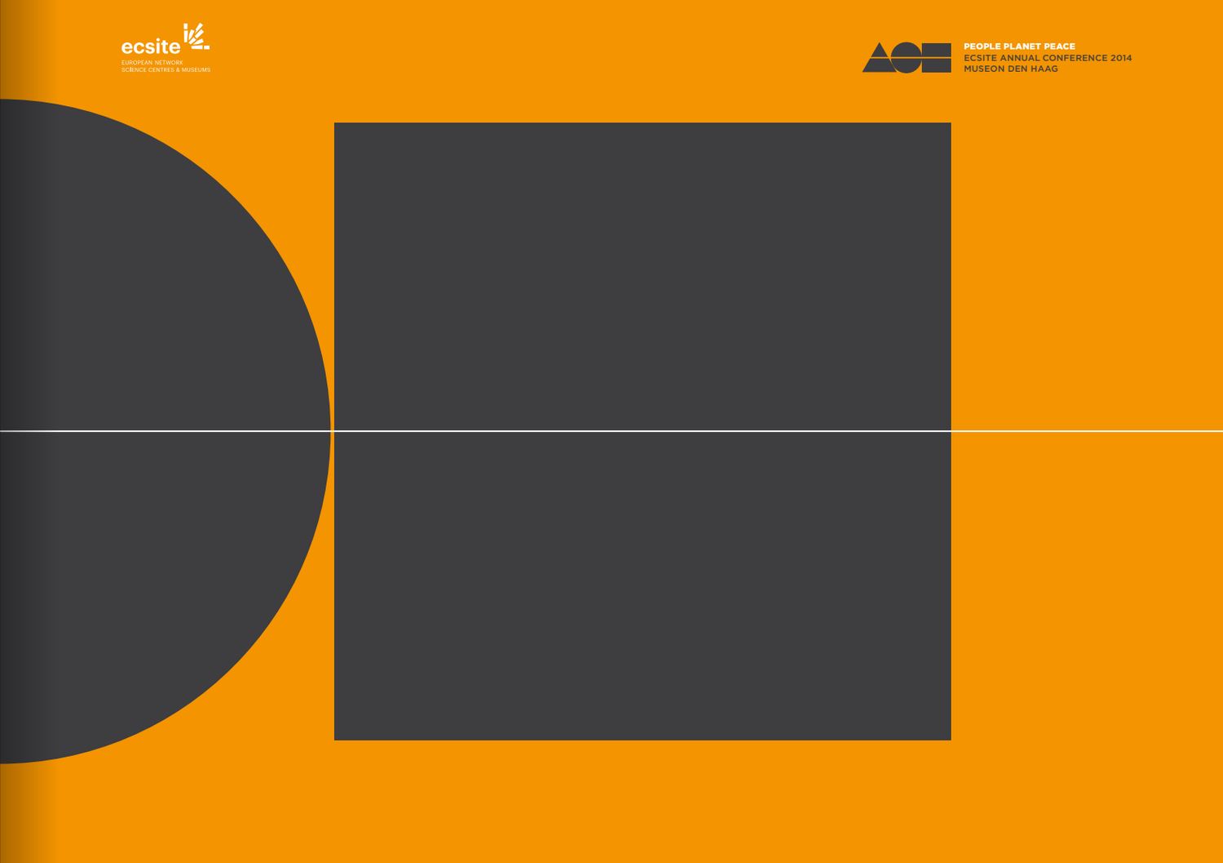



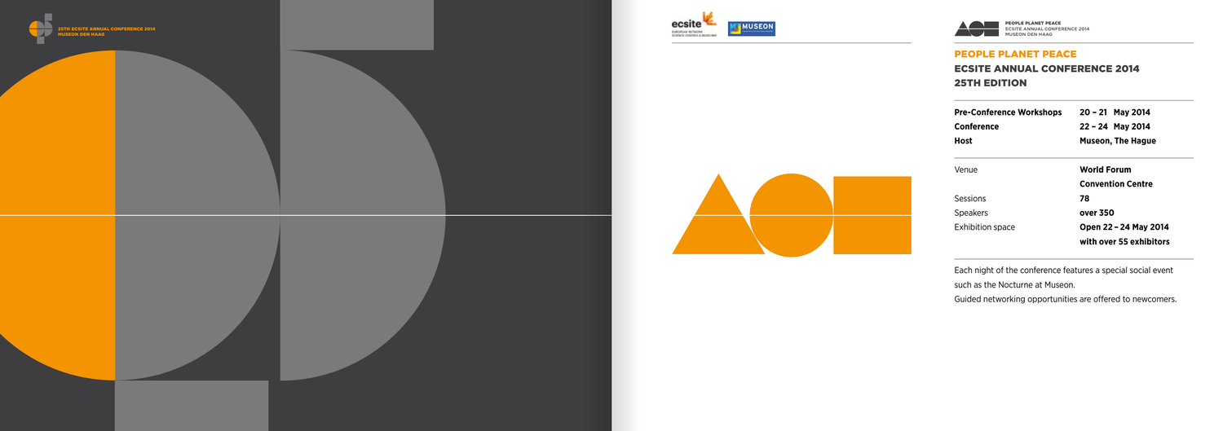

# people planet peace Ecsite Annual Conference 2014 **25TH EDITION**







| <b>Pre-Conference Workshops</b><br>Conference | 20 – 21 May 2014<br>22 - 24 May 2014 |  |  |
|-----------------------------------------------|--------------------------------------|--|--|
| Host                                          | <b>Museon, The Hague</b>             |  |  |
|                                               |                                      |  |  |
| Venue                                         | <b>World Forum</b>                   |  |  |
|                                               | <b>Convention Centre</b>             |  |  |
| Sessions                                      | 78                                   |  |  |
| <b>Speakers</b>                               | over 350                             |  |  |
| <b>Exhibition space</b>                       | Open 22 - 24 May 2014                |  |  |
|                                               | with over 55 exhibitors              |  |  |

Each night of the conference features a special social event

such as the Nocturne at Museon.

Guided networking opportunities are offered to newcomers.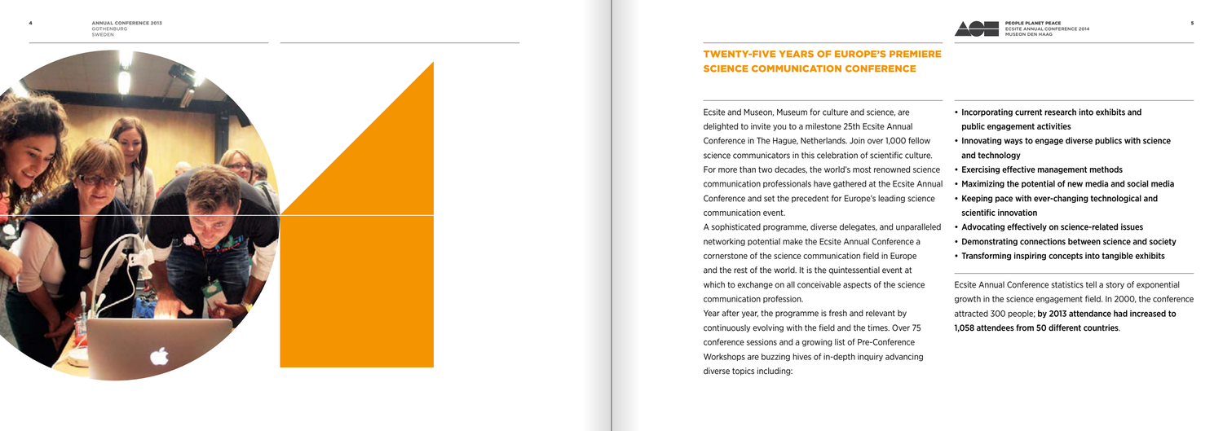Ecsite and Museon, Museum for culture and science, are delighted to invite you to a milestone 25th Ecsite Annual Conference in The Hague, Netherlands. Join over 1,000 fellow science communicators in this celebration of scientific culture For more than two decades, the world's most renowned science communication professionals have gathered at the Ecsite An Conference and set the precedent for Europe's leading scien communication event.

A sophisticated programme, diverse delegates, and unparall networking potential make the Ecsite Annual Conference a cornerstone of the science communication field in Europe and the rest of the world. It is the quintessential event at which to exchange on all conceivable aspects of the science communication profession.

| • Incorporating current research into exhibits and              |
|-----------------------------------------------------------------|
| public engagement activities                                    |
| • Innovating ways to engage diverse publics with science        |
| and technology                                                  |
| • Exercising effective management methods                       |
| • Maximizing the potential of new media and social media        |
| • Keeping pace with ever-changing technological and             |
| scientific innovation                                           |
| • Advocating effectively on science-related issues              |
| • Demonstrating connections between science and society         |
| • Transforming inspiring concepts into tangible exhibits        |
| Ecsite Annual Conference statistics tell a story of exponential |
| growth in the science engagement field. In 2000, the conference |
| attracted 300 people; by 2013 attendance had increased to       |
| 1,058 attendees from 50 different countries.                    |
|                                                                 |

Year after year, the programme is fresh and relevant by continuously evolving with the field and the times. Over 75 conference sessions and a growing list of Pre-Conference Workshops are buzzing hives of in-depth inquiry advancing diverse topics including:



# Twenty-five years of Europe's premiere science communication conference

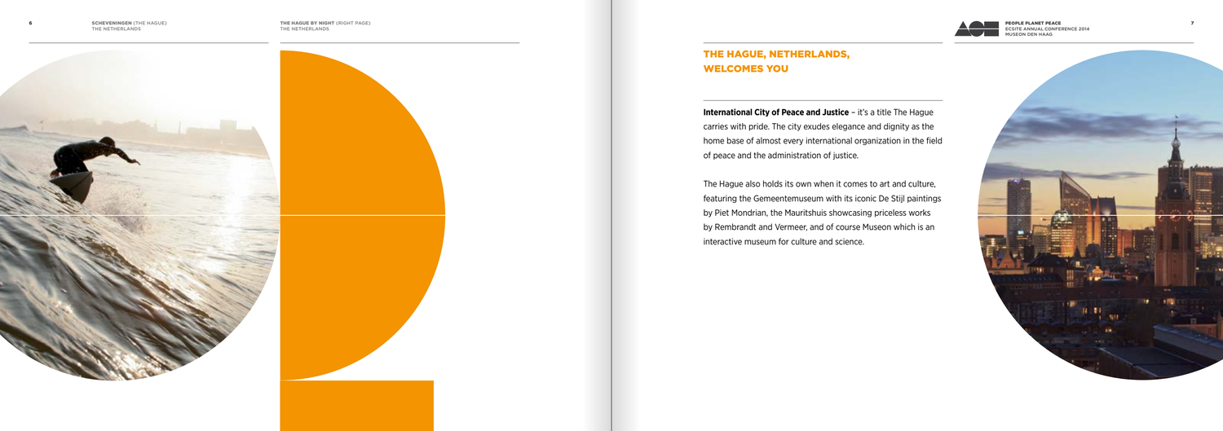# The Hague, Netherlands, welcomes you

the hague by night (right page) the netherlands 6 SCHEVENINGEN (THE HAGUE) THE HAGUE BY NIGHT PAGE) THE HAGUE BY NIGHT PAGE 7





**International City of Peace and Justice** – it's a title The Hague carries with pride. The city exudes elegance and dignity as the home base of almost every international organization in the field of peace and the administration of justice.

The Hague also holds its own when it comes to art and culture, featuring the Gemeentemuseum with its iconic De Stijl paintings by Piet Mondrian, the Mauritshuis showcasing priceless works by Rembrandt and Vermeer, and of course Museon which is an interactive museum for culture and science.



people planet peace Ecsite Annual Conference 2014 Museon Den Haag

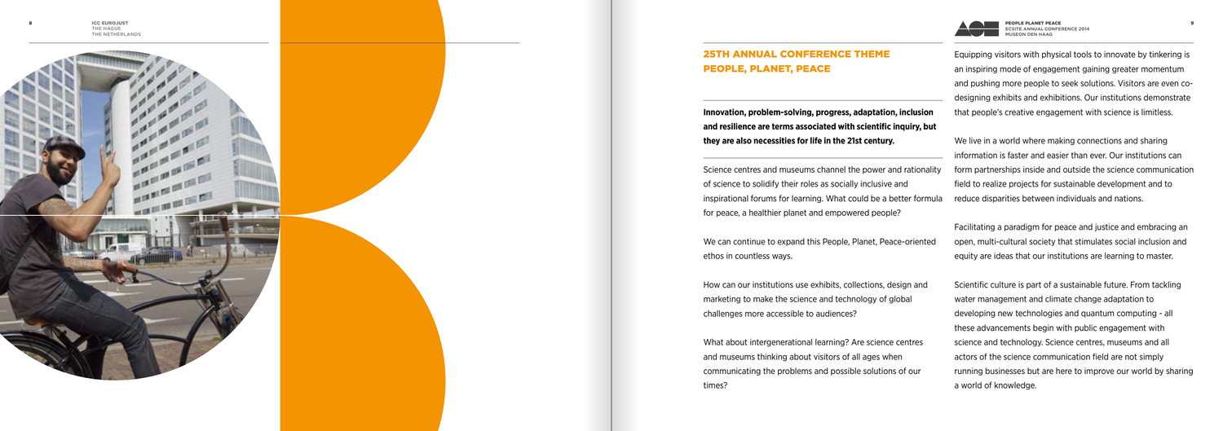



#### 25TH ANNUAL CONFERENCE THEME m People, Planet, Peace

**Innovation, problem-solving, progress, adaptation, inclusion**  and resilience are terms associated with scientific inquiry, but **they are also necessities for life in the 21st century.** 

Science centres and museums channel the power and rational of science to solidify their roles as socially inclusive and inspirational forums for learning. What could be a better form for peace, a healthier planet and empowered people?

We can continue to expand this People, Planet, Peace-oriente ethos in countless ways.

How can our institutions use exhibits, collections, design and marketing to make the science and technology of global challenges more accessible to audiences?

What about intergenerational learning? Are science centres and museums thinking about visitors of all ages when communicating the problems and possible solutions of our times?

|           | Equipping visitors with physical tools to innovate by tinkering is |
|-----------|--------------------------------------------------------------------|
|           | an inspiring mode of engagement gaining greater momentum           |
|           | and pushing more people to seek solutions. Visitors are even co-   |
|           | designing exhibits and exhibitions. Our institutions demonstrate   |
| 'n        | that people's creative engagement with science is limitless.       |
| <b>ut</b> |                                                                    |
|           | We live in a world where making connections and sharing            |
|           | information is faster and easier than ever. Our institutions can   |
| ality     | form partnerships inside and outside the science communication     |
|           | field to realize projects for sustainable development and to       |
| nula      | reduce disparities between individuals and nations.                |
|           | Facilitating a paradigm for peace and justice and embracing an     |
| ed        | open, multi-cultural society that stimulates social inclusion and  |
|           | equity are ideas that our institutions are learning to master.     |
|           | Scientific culture is part of a sustainable future. From tackling  |
|           | water management and climate change adaptation to                  |
|           | developing new technologies and quantum computing - all            |
|           | these advancements begin with public engagement with               |
|           | science and technology. Science centres, museums and all           |
|           | actors of the science communication field are not simply           |
|           | running businesses but are here to improve our world by sharing    |
|           | a world of knowledge.                                              |
|           |                                                                    |

8

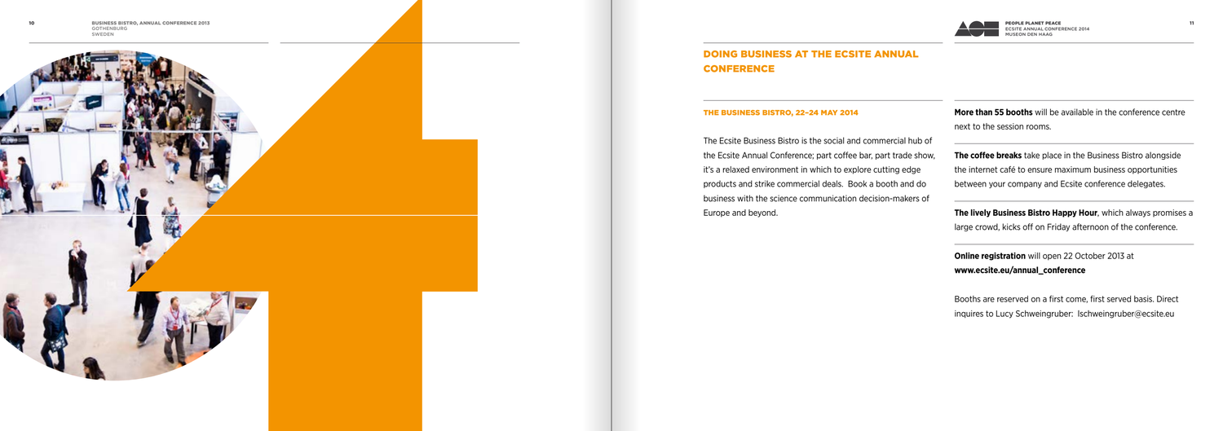#### The Business Bistro, 22–24 May 2014

The Ecsite Business Bistro is the social and commercial hub the Ecsite Annual Conference; part coffee bar, part trade sho it's a relaxed environment in which to explore cutting edge products and strike commercial deals. Book a booth and do business with the science communication decision-makers of Europe and beyond.



| <b>More than 55 booths</b> will be available in the conference centre<br>next to the session rooms.                                     |
|-----------------------------------------------------------------------------------------------------------------------------------------|
| <b>The coffee breaks</b> take place in the Business Bistro alongside<br>the internet café to ensure maximum business opportunities      |
| between your company and Ecsite conference delegates.                                                                                   |
| <b>The lively Business Bistro Happy Hour</b> , which always promises a<br>large crowd, kicks off on Friday afternoon of the conference. |
| <b>Online registration</b> will open 22 October 2013 at<br>www.ecsite.eu/annual_conference                                              |
| Booths are reserved on a first come, first served basis. Direct                                                                         |

inquires to Lucy Schweingruber: lschweingruber@ecsite.eu





# Doing business at the Ecsite Annual **CONFERENCE**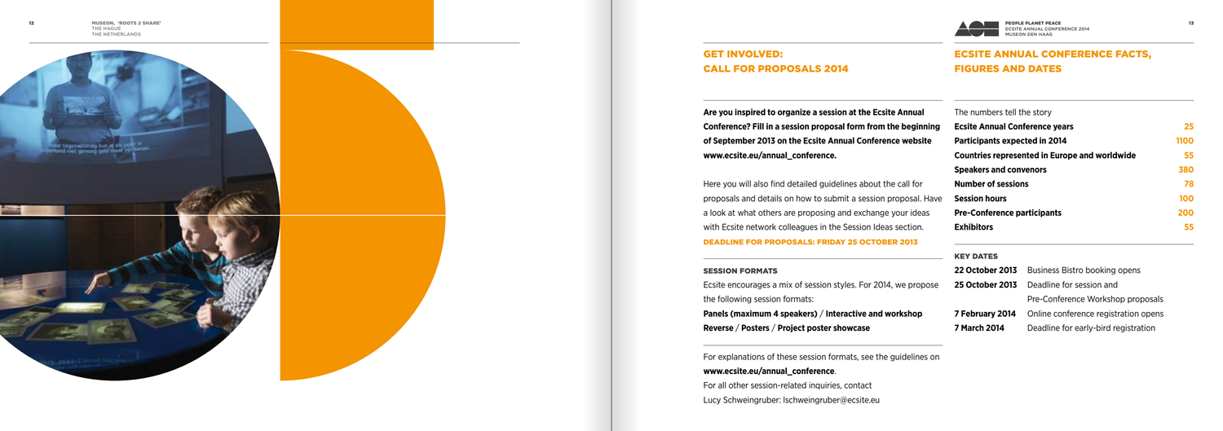# **GET INVOLVED:** Call for proposals 2014

# Ecsite Annual Conference facts, figures and dates

**Are you inspired to organize a session at the Ecsite Annual Conference? Fill in a session proposal form from the beginnergy of September 2013 on the Ecsite Annual Conference website www.ecsite.eu/annual\_conference.**

Ecsite encourages a mix of session styles. For 2014, we propo the following session formats:

Here you will also find detailed guidelines about the call for proposals and details on how to submit a session proposal. H a look at what others are proposing and exchange your ideas with Ecsite network colleagues in the Session Ideas section. Deadline for proposals: Friday 25 October 2013

#### **SESSION FORMATS**

**Panels (maximum 4 speakers)** / **Interactive and workshop Reverse** / **Posters** / **Project poster showcase**

For explanations of these session formats, see the guidelines on

### **www.ecsite.eu/annual\_conference**.

For all other session-related inquiries, contact Lucy Schweingruber: lschweingruber@ecsite.eu



| The numbers tell the story                                 |                                                      |      |
|------------------------------------------------------------|------------------------------------------------------|------|
| <b>Ecsite Annual Conference years</b>                      |                                                      | 25   |
| Participants expected in 2014                              |                                                      | 1100 |
|                                                            | <b>Countries represented in Europe and worldwide</b> | 55   |
| <b>Speakers and convenors</b>                              |                                                      | 380  |
| <b>Number of sessions</b>                                  |                                                      | 78   |
| <b>Session hours</b><br><b>Pre-Conference participants</b> |                                                      | 100  |
|                                                            |                                                      | 200  |
| <b>Exhibitors</b>                                          |                                                      | 55   |
| <b>KEY DATES</b>                                           |                                                      |      |
| <b>22 October 2013</b>                                     | Business Bistro booking opens                        |      |
| <b>25 October 2013</b>                                     | Deadline for session and                             |      |
|                                                            | Pre-Conference Workshop proposals                    |      |
| 7 February 2014                                            | Online conference registration opens                 |      |
| 7 March 2014                                               | Deadline for early-bird registration                 |      |



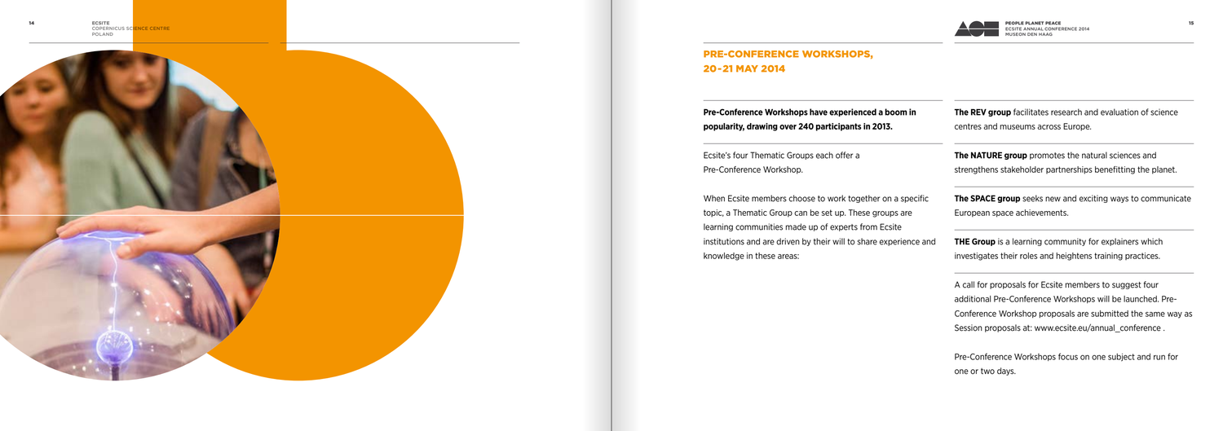# Pre-Conference Workshops, 20-21 May 2014

**Pre-Conference Workshops have experienced a boom in popularity, drawing over 240 participants in 2013.**

Ecsite's four Thematic Groups each offer a Pre-Conference Workshop.

When Ecsite members choose to work together on a specific topic, a Thematic Group can be set up. These groups are learning communities made up of experts from Ecsite institutions and are driven by their will to share experience an knowledge in these areas:





| The REV group facilitates research and evaluation of science      |
|-------------------------------------------------------------------|
| centres and museums across Europe.                                |
| The NATURE group promotes the natural sciences and                |
| strengthens stakeholder partnerships benefitting the planet.      |
| <b>The SPACE group</b> seeks new and exciting ways to communicate |
| European space achievements.                                      |
| <b>THE Group</b> is a learning community for explainers which     |
| investigates their roles and heightens training practices.        |
| A call for proposals for Ecsite members to suggest four           |
| additional Pre-Conference Workshops will be launched. Pre-        |
| Conference Workshop proposals are submitted the same way as       |
| Session proposals at: www.ecsite.eu/annual conference.            |
| Pre-Conference Workshops focus on one subject and run for         |
| one or two days.                                                  |
|                                                                   |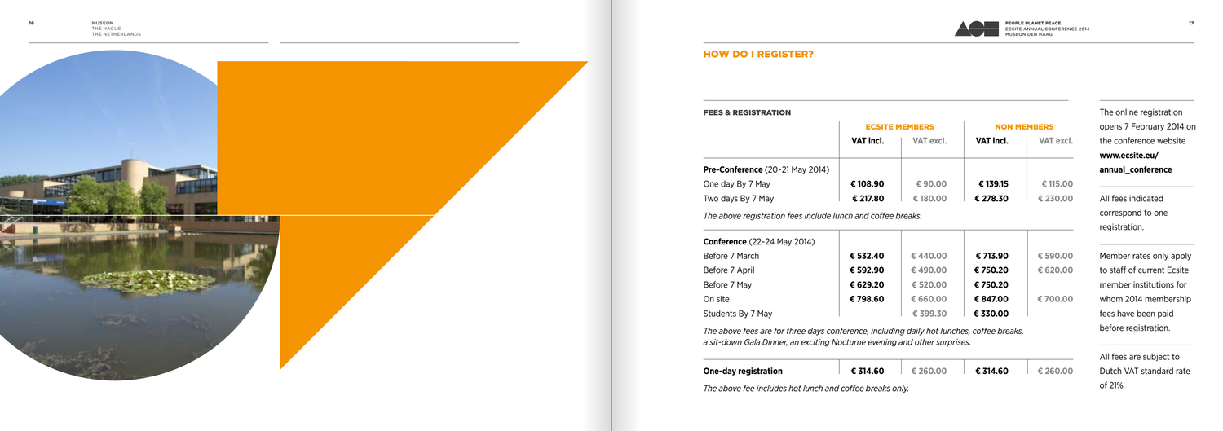

#### **HOW DO I REGISTER?**

#### Fees &

|                                                             |                      | <b>ECSITE MEMBERS</b> |                     | <b>NON MEMBERS</b>             |  |
|-------------------------------------------------------------|----------------------|-----------------------|---------------------|--------------------------------|--|
|                                                             | VAT incl.            | VAT excl.             | VAT incl.           | VAT excl.                      |  |
| Pre-Conference (20-21 May 2014)                             |                      |                       |                     |                                |  |
| One day By 7 May                                            | € 108.90             | €90,00                | € 139.15            | € 115,00                       |  |
| Two days By 7 May                                           | € 217.80             | €180.00               | € 278.30            | € 230.00                       |  |
|                                                             |                      |                       |                     |                                |  |
|                                                             |                      |                       |                     |                                |  |
| <b>Conference</b> (22-24 May 2014)                          |                      |                       |                     |                                |  |
|                                                             | € 532.40<br>€ 592.90 | €440.00<br>€490.00    | € 713.90<br>€750.20 |                                |  |
|                                                             | € 629.20             | € 520.00              | € 750.20            |                                |  |
| Before 7 March<br>Before 7 April<br>Before 7 May<br>On site | €798.60              | € 660.00              | € 847.00            | €590.00<br>€ 620,00<br>€700.00 |  |

|                                        | <b>ECSITE MEMBERS</b> |           | <b>NON MEMBERS</b> |           |
|----------------------------------------|-----------------------|-----------|--------------------|-----------|
|                                        | VAT incl.             | VAT excl. | VAT incl.          | VAT excl. |
| <b>Pre-Conference</b> (20-21 May 2014) |                       |           |                    |           |
| One day By 7 May                       | € 108.90              | €90.00    | € 139.15           | € 115.00  |
| Two days By 7 May                      | € 217.80              | €180.00   | € 278.30           | € 230.00  |
|                                        |                       |           |                    |           |
|                                        |                       |           |                    |           |
| <b>Conference</b> (22-24 May 2014)     |                       |           |                    |           |
|                                        | € 532.40              | €440.00   | € 713.90           | € 590.00  |
| Before 7 March<br>Before 7 April       | € 592.90              | €490.00   | € 750.20           | € 620.00  |
|                                        | € 629.20              | € 520.00  | € 750.20           |           |
| Before 7 May<br>On site                | €798.60               | € 660.00  | € 847.00           | €700.00   |

**One-day registration € 314.60 € 260.00 € 314.60 € 260.00**

*The above fee includes hot lunch and coffee breaks only.*



| € 314.60<br>60.00 |  | € 260.00 |
|-------------------|--|----------|
|-------------------|--|----------|

The online registration opens 7 February 2014 on the conference website **www.ecsite.eu/ annual\_conference** All fees indicated correspond to one registration. Member rates only apply to staff of current Ecsite member institutions for whom 2014 membership fees have been paid before registration. All fees are subject to Dutch VAT standard rate

of 21%.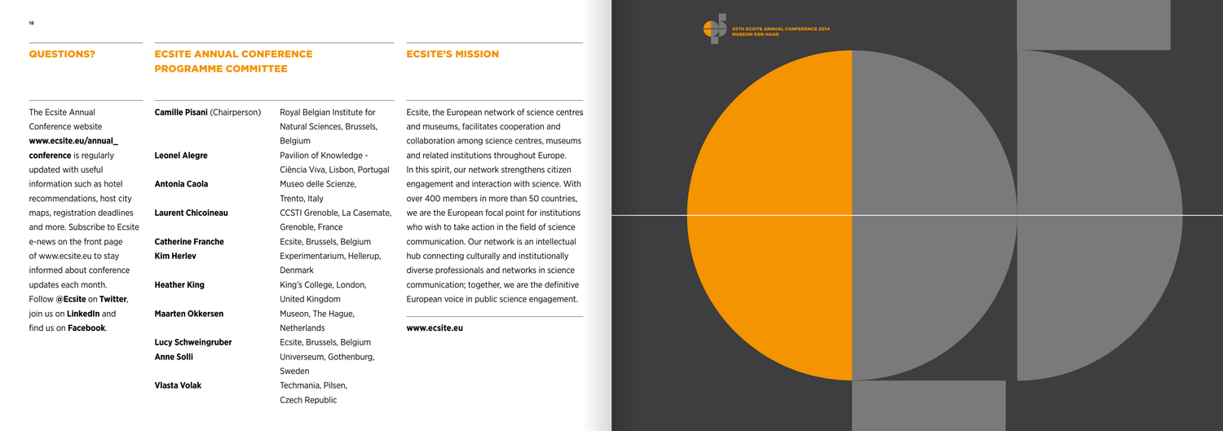The Ecsite Annual Conference website **www.ecsite.eu/annual\_ conference** is regularly updated with useful information such as hotel recommendations, host city maps, registration deadlines and more. Subscribe to Ecsite e-news on the front page of www.ecsite.eu to stay informed about conference updates each month. Follow **@Ecsite** on **Twitter**, join us on **LinkedIn** and find us on **Facebook**.

**Antonia Caola** Museo delle Scienze. **Heather King** King's College, London, **Maarten Okkersen** Museon, The Hague,

## Ecsite Annual Conference Programme Committee

**Camille Pisani** (Chairperson) Royal Belgian Institute for Natural Sciences, Brussels, Belgium **Leonel Alegre Pavilion of Knowledge -**Ciência Viva, Lisbon, Portugal Trento, Italy **Laurent Chicoineau** CCSTI Grenoble, La Casemate, Grenoble, France **Catherine Franche** Ecsite, Brussels, Belgium **Kim Herley Experimentarium, Hellerup,** Denmark United Kingdom Netherlands **Lucy Schweingruber Ecsite, Brussels, Belgium Anne Solli** Universeum, Gothenburg, Sweden **Vlasta Volak** Techmania, Pilsen,

Czech Republic





Ecsite's mission

Ecsite, the European network of science centres and museums, facilitates cooperation and collaboration among science centres, museums and related institutions throughout Europe. In this spirit, our network strengthens citizen engagement and interaction with science. With over 400 members in more than 50 countries, we are the European focal point for institutions who wish to take action in the field of science communication. Our network is an intellectual hub connecting culturally and institutionally diverse professionals and networks in science communication; together, we are the definitive European voice in public science engagement.

#### **www.ecsite.eu**

#### QUESTIONS?